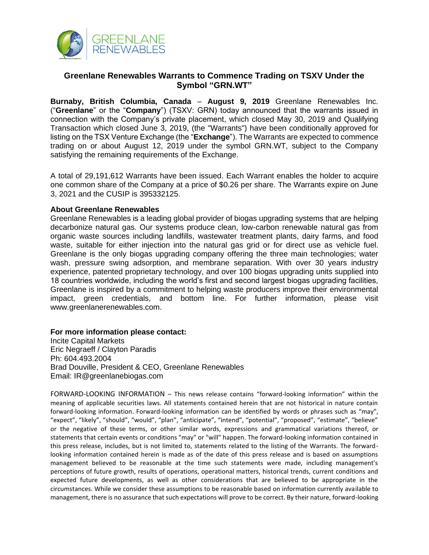

## **Greenlane Renewables Warrants to Commence Trading on TSXV Under the Symbol "GRN.WT"**

**Burnaby, British Columbia, Canada** – **August 9, 2019** Greenlane Renewables Inc. ("**Greenlane**" or the "**Company**") (TSXV: GRN) today announced that the warrants issued in connection with the Company's private placement, which closed May 30, 2019 and Qualifying Transaction which closed June 3, 2019, (the "Warrants") have been conditionally approved for listing on the TSX Venture Exchange (the "**Exchange**"). The Warrants are expected to commence trading on or about August 12, 2019 under the symbol GRN.WT, subject to the Company satisfying the remaining requirements of the Exchange.

A total of 29,191,612 Warrants have been issued. Each Warrant enables the holder to acquire one common share of the Company at a price of \$0.26 per share. The Warrants expire on June 3, 2021 and the CUSIP is 395332125.

## **About Greenlane Renewables**

Greenlane Renewables is a leading global provider of biogas upgrading systems that are helping decarbonize natural gas. Our systems produce clean, low-carbon renewable natural gas from organic waste sources including landfills, wastewater treatment plants, dairy farms, and food waste, suitable for either injection into the natural gas grid or for direct use as vehicle fuel. Greenlane is the only biogas upgrading company offering the three main technologies; water wash, pressure swing adsorption, and membrane separation. With over 30 years industry experience, patented proprietary technology, and over 100 biogas upgrading units supplied into 18 countries worldwide, including the world's first and second largest biogas upgrading facilities, Greenlane is inspired by a commitment to helping waste producers improve their environmental impact, green credentials, and bottom line. For further information, please visit www.greenlanerenewables.com.

## **For more information please contact:**

Incite Capital Markets Eric Negraeff / Clayton Paradis Ph: 604.493.2004 Brad Douville, President & CEO, Greenlane Renewables Email: IR@greenlanebiogas.com

FORWARD-LOOKING INFORMATION – This news release contains "forward-looking information" within the meaning of applicable securities laws. All statements contained herein that are not historical in nature contain forward-looking information. Forward-looking information can be identified by words or phrases such as "may", "expect", "likely", "should", "would", "plan", "anticipate", "intend", "potential", "proposed", "estimate", "believe" or the negative of these terms, or other similar words, expressions and grammatical variations thereof, or statements that certain events or conditions "may" or "will" happen. The forward-looking information contained in this press release, includes, but is not limited to, statements related to the listing of the Warrants. The forwardlooking information contained herein is made as of the date of this press release and is based on assumptions management believed to be reasonable at the time such statements were made, including management's perceptions of future growth, results of operations, operational matters, historical trends, current conditions and expected future developments, as well as other considerations that are believed to be appropriate in the circumstances. While we consider these assumptions to be reasonable based on information currently available to management, there is no assurance that such expectations will prove to be correct. By their nature, forward-looking